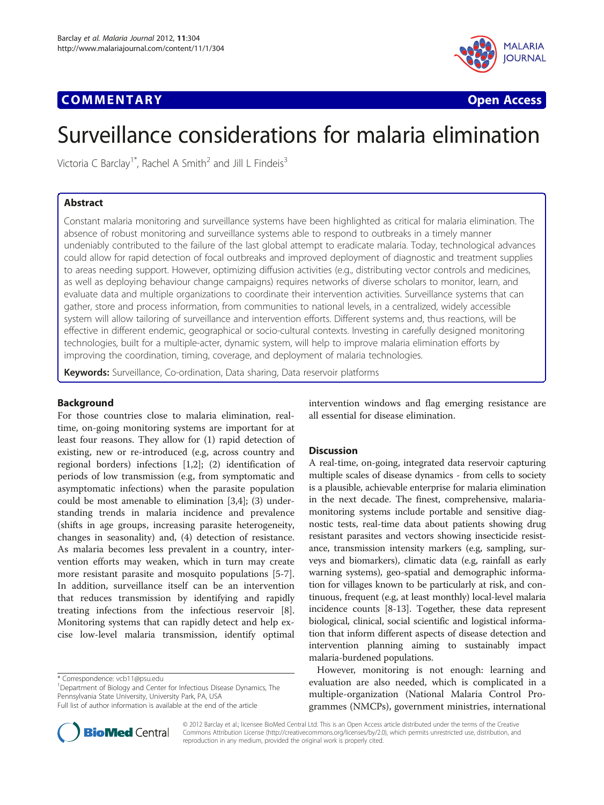# **COMMENTARY COMMENTARY COMMENTARY**



# Surveillance considerations for malaria elimination

Victoria C Barclay<sup>1\*</sup>, Rachel A Smith<sup>2</sup> and Jill L Findeis<sup>3</sup>

# Abstract

Constant malaria monitoring and surveillance systems have been highlighted as critical for malaria elimination. The absence of robust monitoring and surveillance systems able to respond to outbreaks in a timely manner undeniably contributed to the failure of the last global attempt to eradicate malaria. Today, technological advances could allow for rapid detection of focal outbreaks and improved deployment of diagnostic and treatment supplies to areas needing support. However, optimizing diffusion activities (e.g., distributing vector controls and medicines, as well as deploying behaviour change campaigns) requires networks of diverse scholars to monitor, learn, and evaluate data and multiple organizations to coordinate their intervention activities. Surveillance systems that can gather, store and process information, from communities to national levels, in a centralized, widely accessible system will allow tailoring of surveillance and intervention efforts. Different systems and, thus reactions, will be effective in different endemic, geographical or socio-cultural contexts. Investing in carefully designed monitoring technologies, built for a multiple-acter, dynamic system, will help to improve malaria elimination efforts by improving the coordination, timing, coverage, and deployment of malaria technologies.

Keywords: Surveillance, Co-ordination, Data sharing, Data reservoir platforms

# Background

For those countries close to malaria elimination, realtime, on-going monitoring systems are important for at least four reasons. They allow for (1) rapid detection of existing, new or re-introduced (e.g, across country and regional borders) infections [\[1,2](#page-2-0)]; (2) identification of periods of low transmission (e.g, from symptomatic and asymptomatic infections) when the parasite population could be most amenable to elimination [\[3,4](#page-2-0)]; (3) understanding trends in malaria incidence and prevalence (shifts in age groups, increasing parasite heterogeneity, changes in seasonality) and, (4) detection of resistance. As malaria becomes less prevalent in a country, intervention efforts may weaken, which in turn may create more resistant parasite and mosquito populations [[5-7](#page-2-0)]. In addition, surveillance itself can be an intervention that reduces transmission by identifying and rapidly treating infections from the infectious reservoir [\[8](#page-2-0)]. Monitoring systems that can rapidly detect and help excise low-level malaria transmission, identify optimal

\* Correspondence: [vcb11@psu.edu](mailto:vcb11@psu.edu) <sup>1</sup>

<sup>1</sup>Department of Biology and Center for Infectious Disease Dynamics, The Pennsylvania State University, University Park, PA, USA



# **Discussion**

A real-time, on-going, integrated data reservoir capturing multiple scales of disease dynamics - from cells to society is a plausible, achievable enterprise for malaria elimination in the next decade. The finest, comprehensive, malariamonitoring systems include portable and sensitive diagnostic tests, real-time data about patients showing drug resistant parasites and vectors showing insecticide resistance, transmission intensity markers (e.g, sampling, surveys and biomarkers), climatic data (e.g, rainfall as early warning systems), geo-spatial and demographic information for villages known to be particularly at risk, and continuous, frequent (e.g, at least monthly) local-level malaria incidence counts [[8-13\]](#page-2-0). Together, these data represent biological, clinical, social scientific and logistical information that inform different aspects of disease detection and intervention planning aiming to sustainably impact malaria-burdened populations.

However, monitoring is not enough: learning and evaluation are also needed, which is complicated in a multiple-organization (National Malaria Control Programmes (NMCPs), government ministries, international



© 2012 Barclay et al.; licensee BioMed Central Ltd. This is an Open Access article distributed under the terms of the Creative Commons Attribution License [\(http://creativecommons.org/licenses/by/2.0\)](http://creativecommons.org/licenses/by/2.0), which permits unrestricted use, distribution, and reproduction in any medium, provided the original work is properly cited.

Full list of author information is available at the end of the article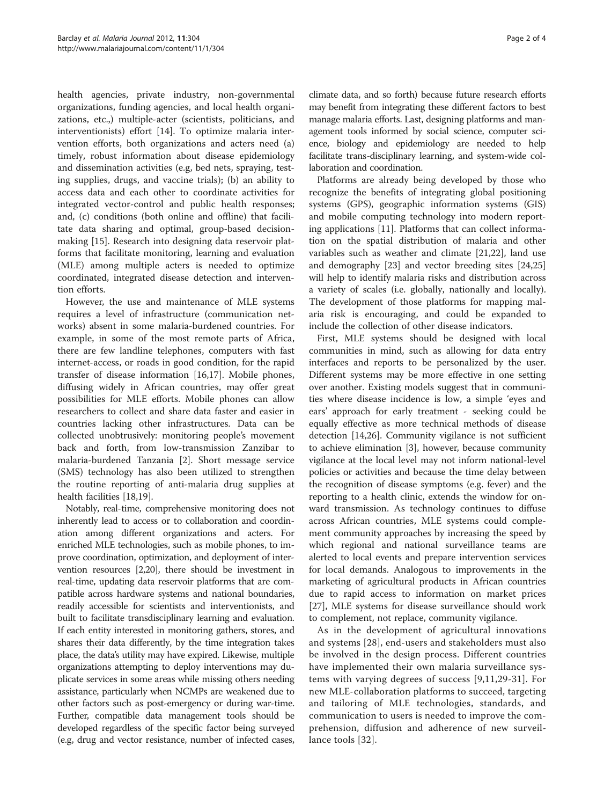health agencies, private industry, non-governmental organizations, funding agencies, and local health organizations, etc.,) multiple-acter (scientists, politicians, and interventionists) effort [[14](#page-2-0)]. To optimize malaria intervention efforts, both organizations and acters need (a) timely, robust information about disease epidemiology and dissemination activities (e.g, bed nets, spraying, testing supplies, drugs, and vaccine trials); (b) an ability to access data and each other to coordinate activities for integrated vector-control and public health responses; and, (c) conditions (both online and offline) that facilitate data sharing and optimal, group-based decisionmaking [\[15\]](#page-2-0). Research into designing data reservoir platforms that facilitate monitoring, learning and evaluation (MLE) among multiple acters is needed to optimize coordinated, integrated disease detection and intervention efforts.

However, the use and maintenance of MLE systems requires a level of infrastructure (communication networks) absent in some malaria-burdened countries. For example, in some of the most remote parts of Africa, there are few landline telephones, computers with fast internet-access, or roads in good condition, for the rapid transfer of disease information [\[16,17\]](#page-2-0). Mobile phones, diffusing widely in African countries, may offer great possibilities for MLE efforts. Mobile phones can allow researchers to collect and share data faster and easier in countries lacking other infrastructures. Data can be collected unobtrusively: monitoring people's movement back and forth, from low-transmission Zanzibar to malaria-burdened Tanzania [[2\]](#page-2-0). Short message service (SMS) technology has also been utilized to strengthen the routine reporting of anti-malaria drug supplies at health facilities [\[18,19\]](#page-2-0).

Notably, real-time, comprehensive monitoring does not inherently lead to access or to collaboration and coordination among different organizations and acters. For enriched MLE technologies, such as mobile phones, to improve coordination, optimization, and deployment of intervention resources [[2,20\]](#page-2-0), there should be investment in real-time, updating data reservoir platforms that are compatible across hardware systems and national boundaries, readily accessible for scientists and interventionists, and built to facilitate transdisciplinary learning and evaluation. If each entity interested in monitoring gathers, stores, and shares their data differently, by the time integration takes place, the data's utility may have expired. Likewise, multiple organizations attempting to deploy interventions may duplicate services in some areas while missing others needing assistance, particularly when NCMPs are weakened due to other factors such as post-emergency or during war-time. Further, compatible data management tools should be developed regardless of the specific factor being surveyed (e.g, drug and vector resistance, number of infected cases,

climate data, and so forth) because future research efforts may benefit from integrating these different factors to best manage malaria efforts. Last, designing platforms and management tools informed by social science, computer science, biology and epidemiology are needed to help facilitate trans-disciplinary learning, and system-wide collaboration and coordination.

Platforms are already being developed by those who recognize the benefits of integrating global positioning systems (GPS), geographic information systems (GIS) and mobile computing technology into modern reporting applications [[11](#page-2-0)]. Platforms that can collect information on the spatial distribution of malaria and other variables such as weather and climate [\[21](#page-2-0)[,22\]](#page-3-0), land use and demography [\[23](#page-3-0)] and vector breeding sites [[24](#page-3-0),[25](#page-3-0)] will help to identify malaria risks and distribution across a variety of scales (i.e. globally, nationally and locally). The development of those platforms for mapping malaria risk is encouraging, and could be expanded to include the collection of other disease indicators.

First, MLE systems should be designed with local communities in mind, such as allowing for data entry interfaces and reports to be personalized by the user. Different systems may be more effective in one setting over another. Existing models suggest that in communities where disease incidence is low, a simple 'eyes and ears' approach for early treatment - seeking could be equally effective as more technical methods of disease detection [[14,](#page-2-0)[26\]](#page-3-0). Community vigilance is not sufficient to achieve elimination [\[3](#page-2-0)], however, because community vigilance at the local level may not inform national-level policies or activities and because the time delay between the recognition of disease symptoms (e.g. fever) and the reporting to a health clinic, extends the window for onward transmission. As technology continues to diffuse across African countries, MLE systems could complement community approaches by increasing the speed by which regional and national surveillance teams are alerted to local events and prepare intervention services for local demands. Analogous to improvements in the marketing of agricultural products in African countries due to rapid access to information on market prices [[27\]](#page-3-0), MLE systems for disease surveillance should work to complement, not replace, community vigilance.

As in the development of agricultural innovations and systems [[28](#page-3-0)], end-users and stakeholders must also be involved in the design process. Different countries have implemented their own malaria surveillance systems with varying degrees of success [[9,11,](#page-2-0)[29](#page-3-0)-[31](#page-3-0)]. For new MLE-collaboration platforms to succeed, targeting and tailoring of MLE technologies, standards, and communication to users is needed to improve the comprehension, diffusion and adherence of new surveillance tools [[32](#page-3-0)].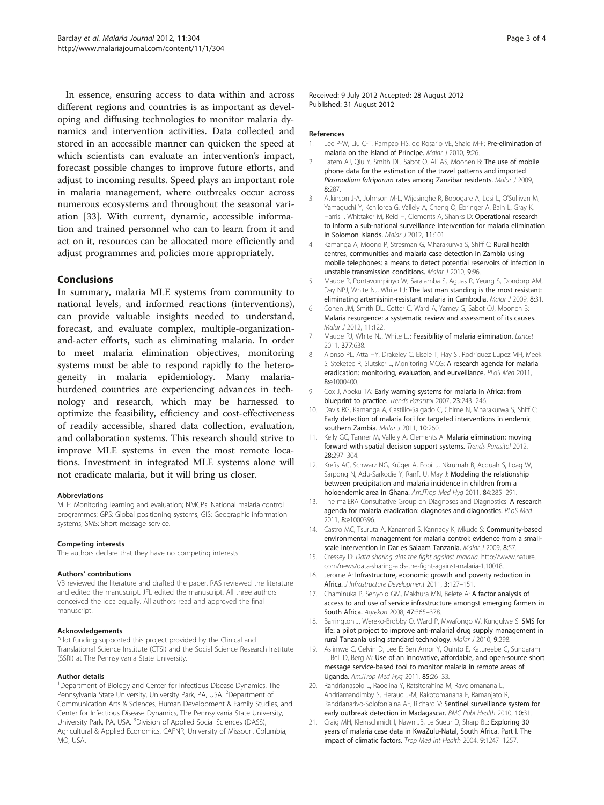<span id="page-2-0"></span>In essence, ensuring access to data within and across different regions and countries is as important as developing and diffusing technologies to monitor malaria dynamics and intervention activities. Data collected and stored in an accessible manner can quicken the speed at which scientists can evaluate an intervention's impact, forecast possible changes to improve future efforts, and adjust to incoming results. Speed plays an important role in malaria management, where outbreaks occur across numerous ecosystems and throughout the seasonal variation [\[33](#page-3-0)]. With current, dynamic, accessible information and trained personnel who can to learn from it and act on it, resources can be allocated more efficiently and adjust programmes and policies more appropriately.

# Conclusions

In summary, malaria MLE systems from community to national levels, and informed reactions (interventions), can provide valuable insights needed to understand, forecast, and evaluate complex, multiple-organizationand-acter efforts, such as eliminating malaria. In order to meet malaria elimination objectives, monitoring systems must be able to respond rapidly to the heterogeneity in malaria epidemiology. Many malariaburdened countries are experiencing advances in technology and research, which may be harnessed to optimize the feasibility, efficiency and cost-effectiveness of readily accessible, shared data collection, evaluation, and collaboration systems. This research should strive to improve MLE systems in even the most remote locations. Investment in integrated MLE systems alone will not eradicate malaria, but it will bring us closer.

#### Abbreviations

MLE: Monitoring learning and evaluation; NMCPs: National malaria control programmes; GPS: Global positioning systems; GIS: Geographic information systems; SMS: Short message service.

#### Competing interests

The authors declare that they have no competing interests.

#### Authors' contributions

VB reviewed the literature and drafted the paper. RAS reviewed the literature and edited the manuscript. JFL edited the manuscript. All three authors conceived the idea equally. All authors read and approved the final manuscript.

#### Acknowledgements

Pilot funding supported this project provided by the Clinical and Translational Science Institute (CTSI) and the Social Science Research Institute (SSRI) at The Pennsylvania State University.

#### Author details

<sup>1</sup>Department of Biology and Center for Infectious Disease Dynamics, The Pennsylvania State University, University Park, PA, USA. <sup>2</sup>Department of Communication Arts & Sciences, Human Development & Family Studies, and Center for Infectious Disease Dynamics, The Pennsylvania State University, University Park, PA, USA. <sup>3</sup> Division of Applied Social Sciences (DASS), Agricultural & Applied Economics, CAFNR, University of Missouri, Columbia, MO, USA.

Received: 9 July 2012 Accepted: 28 August 2012 Published: 31 August 2012

#### References

- 1. Lee P-W, Liu C-T, Rampao HS, do Rosario VE, Shaio M-F: Pre-elimination of malaria on the island of Príncipe. Malar J 2010, 9:26.
- 2. Tatem AJ, Qiu Y, Smith DL, Sabot O, Ali AS, Moonen B: The use of mobile phone data for the estimation of the travel patterns and imported Plasmodium falciparum rates among Zanzibar residents. Malar J 2009, 8:287.
- 3. Atkinson J-A, Johnson M-L, Wijesinghe R, Bobogare A, Losi L, O'Sullivan M, Yamaguchi Y, Kenilorea G, Vallely A, Cheng Q, Ebringer A, Bain L, Gray K, Harris I, Whittaker M, Reid H, Clements A, Shanks D: Operational research to inform a sub-national surveillance intervention for malaria elimination in Solomon Islands. Malar J 2012, 11:101.
- 4. Kamanga A, Moono P, Stresman G, Mharakurwa S, Shiff C: Rural health centres, communities and malaria case detection in Zambia using mobile telephones: a means to detect potential reservoirs of infection in unstable transmission conditions. Malar J 2010, 9:96.
- 5. Maude R, Pontavornpinyo W, Saralamba S, Aguas R, Yeung S, Dondorp AM, Day NPJ, White NJ, White LJ: The last man standing is the most resistant: eliminating artemisinin-resistant malaria in Cambodia. Malar J 2009, 8:31.
- 6. Cohen JM, Smith DL, Cotter C, Ward A, Yamey G, Sabot OJ, Moonen B: Malaria resurgence: a systematic review and assessment of its causes. Malar J 2012, 11:122.
- 7. Maude RJ, White NJ, White LJ: Feasibility of malaria elimination. Lancet 2011, 377:638.
- 8. Alonso PL, Atta HY, Drakeley C, Eisele T, Hay SI, Rodriguez Lupez MH, Meek S, Steketee R, Slutsker L, Monitoring MCG: A research agenda for malaria eradication: monitoring, evaluation, and eurveillance. PLoS Med 2011, 8:e1000400
- 9. Cox J, Abeku TA: Early warning systems for malaria in Africa: from blueprint to practice. Trends Parasitol 2007, 23:243–246.
- 10. Davis RG, Kamanga A, Castillo-Salgado C, Chime N, Mharakurwa S, Shiff C: Early detection of malaria foci for targeted interventions in endemic southern Zambia. Malar J 2011, 10:260.
- 11. Kelly GC, Tanner M, Vallely A, Clements A: Malaria elimination: moving forward with spatial decision support systems. Trends Parasitol 2012, 28:297–304.
- 12. Krefis AC, Schwarz NG, Krüger A, Fobil J, Nkrumah B, Acquah S, Loag W, Sarpong N, Adu-Sarkodie Y, Ranft U, May J: Modeling the relationship between precipitation and malaria incidence in children from a holoendemic area in Ghana. AmJTrop Med Hyg 2011, 84:285-291.
- 13. The malERA Consultative Group on Diagnoses and Diagnostics: A research agenda for malaria eradication: diagnoses and diagnostics. PLoS Med 2011, 8:e1000396.
- 14. Castro MC, Tsuruta A, Kanamori S, Kannady K, Mkude S: Community-based environmental management for malaria control: evidence from a smallscale intervention in Dar es Salaam Tanzania. Malar J 2009, 8:57.
- 15. Cressey D: Data sharing aids the fight against malaria. [http://www.nature.](http:////www.nature.com/news/data-sharing-aids-the-fight-against-malaria-1.10018) [com/news/data-sharing-aids-the-fight-against-malaria-1.10018.](http:////www.nature.com/news/data-sharing-aids-the-fight-against-malaria-1.10018)
- 16. Jerome A: Infrastructure, economic growth and poverty reduction in Africa. J Infrastructure Development 2011, 3:127-151.
- 17. Chaminuka P, Senyolo GM, Makhura MN, Belete A: A factor analysis of access to and use of service infrastructure amongst emerging farmers in South Africa. Agrekon 2008, 47:365–378.
- 18. Barrington J, Wereko-Brobby O, Ward P, Mwafongo W, Kungulwe S: SMS for life: a pilot project to improve anti-malarial drug supply management in rural Tanzania using standard technology. Malar J 2010, 9:298.
- 19. Asiimwe C, Gelvin D, Lee E: Ben Amor Y, Quinto E, Katureebe C, Sundaram L, Bell D, Berg M: Use of an innovative, affordable, and open-source short message service-based tool to monitor malaria in remote areas of Uganda. AmJTrop Med Hyg 2011, 85:26–33.
- 20. Randrianasolo L, Raoelina Y, Ratsitorahina M, Ravolomanana L, Andriamandimby S, Heraud J-M, Rakotomanana F, Ramanjato R, Randrianarivo-Solofoniaina AE, Richard V: Sentinel surveillance system for early outbreak detection in Madagascar. BMC Publ Health 2010, 10:31.
- 21. Craig MH, Kleinschmidt I, Nawn JB, Le Sueur D, Sharp BL: Exploring 30 years of malaria case data in KwaZulu-Natal, South Africa. Part I. The impact of climatic factors. Trop Med Int Health 2004, 9:1247–1257.